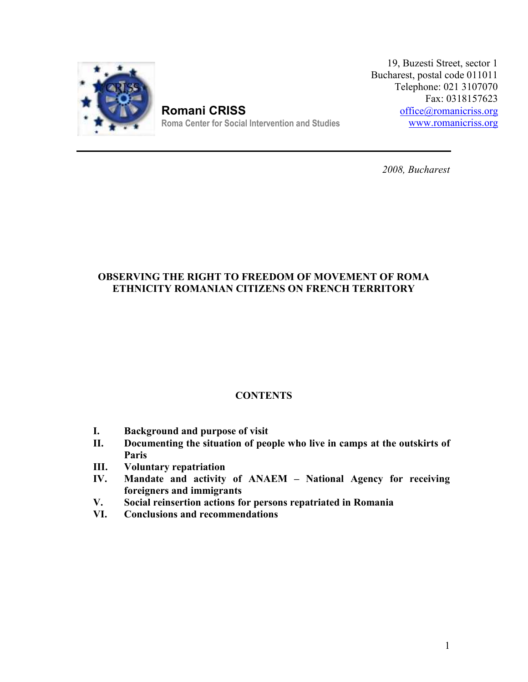

**Romani CRISS Roma Center for Social Intervention and Studies** 

19, Buzesti Street, sector 1 ucharest, postal code 011011 Telephone: 021 3107070 Fax: 0318157623 office@romanicriss.org www.romanicriss.org 19, Buzesti Street, sector 1<br>Bucharest, postal code 011011<br>Telephone: 021 3107070<br>Fax: 0318157623<br><u>office@romanicriss.orgwww.romanicriss.org</u>

*2008, Bucharest*

## **OBSERVING THE RIGHT TO FREEDOM OF MOVEMENT OF ROMA ETHNICITY ROMANIAN CITIZENS ON FRENCH TERRITORY**

# **CONTENTS**

- **I. Background and purpose of visit**
- **II. Documenting the situation of people who live in camps at the outskirts of Paris**
- **III. Voluntary repatriation**
- **IV. Mandate and activity of ANAEM – National Agency for receiving foreigners and immigrants**
- **V. Social reinsertion actions for persons repatriated in Romania**
- **VI. Conclusions and recommendations**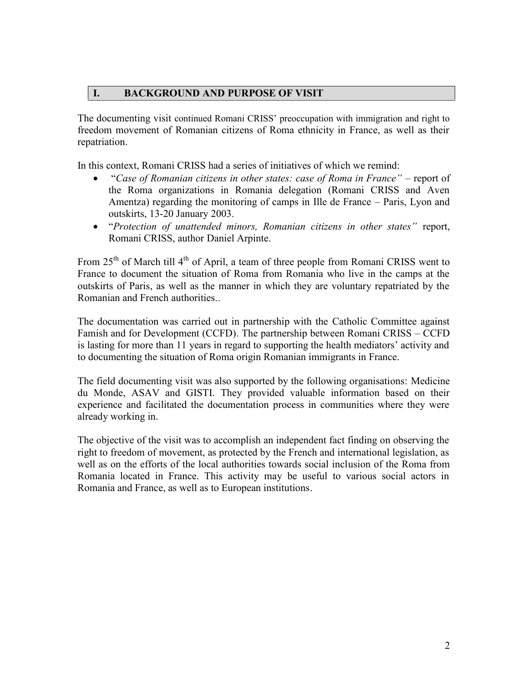### **I. BACKGROUND AND PURPOSE OF VISIT**

The documenting visit continued Romani CRISS' preoccupation with immigration and right to freedom movement of Romanian citizens of Roma ethnicity in France, as well as their repatriation.

In this context, Romani CRISS had a series of initiatives of which we remind:

- "*Case of Romanian citizens in other states: case of Roma in France"* report of the Roma organizations in Romania delegation (Romani CRISS and Aven Amentza) regarding the monitoring of camps in Ille de France – Paris, Lyon and outskirts, 13-20 January 2003.
- "*Protection of unattended minors, Romanian citizens in other states"* report, Romani CRISS, author Daniel Arpinte.

From  $25<sup>th</sup>$  of March till  $4<sup>th</sup>$  of April, a team of three people from Romani CRISS went to France to document the situation of Roma from Romania who live in the camps at the outskirts of Paris, as well as the manner in which they are voluntary repatriated by the Romanian and French authorities..

The documentation was carried out in partnership with the Catholic Committee against Famish and for Development (CCFD). The partnership between Romani CRISS – CCFD is lasting for more than 11 years in regard to supporting the health mediators' activity and to documenting the situation of Roma origin Romanian immigrants in France.

The field documenting visit was also supported by the following organisations: Medicine du Monde, ASAV and GISTI. They provided valuable information based on their experience and facilitated the documentation process in communities where they were already working in.

The objective of the visit was to accomplish an independent fact finding on observing the right to freedom of movement, as protected by the French and international legislation, as well as on the efforts of the local authorities towards social inclusion of the Roma from Romania located in France. This activity may be useful to various social actors in Romania and France, as well as to European institutions.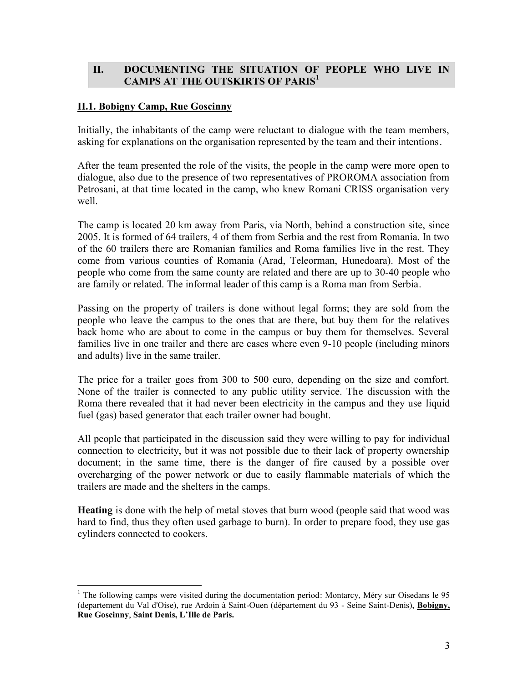### **II. DOCUMENTING THE SITUATION OF PEOPLE WHO LIVE IN CAMPS AT THE OUTSKIRTS OF PARIS<sup>1</sup>**

### **II.1. Bobigny Camp, Rue Goscinny**

Initially, the inhabitants of the camp were reluctant to dialogue with the team members, asking for explanations on the organisation represented by the team and their intentions.

After the team presented the role of the visits, the people in the camp were more open to dialogue, also due to the presence of two representatives of PROROMA association from Petrosani, at that time located in the camp, who knew Romani CRISS organisation very well.

The camp is located 20 km away from Paris, via North, behind a construction site, since 2005. It is formed of 64 trailers, 4 of them from Serbia and the rest from Romania. In two of the 60 trailers there are Romanian families and Roma families live in the rest. They come from various counties of Romania (Arad, Teleorman, Hunedoara). Most of the people who come from the same county are related and there are up to 30-40 people who are family or related. The informal leader of this camp is a Roma man from Serbia.

Passing on the property of trailers is done without legal forms; they are sold from the people who leave the campus to the ones that are there, but buy them for the relatives back home who are about to come in the campus or buy them for themselves. Several families live in one trailer and there are cases where even 9-10 people (including minors and adults) live in the same trailer.

The price for a trailer goes from 300 to 500 euro, depending on the size and comfort. None of the trailer is connected to any public utility service. The discussion with the Roma there revealed that it had never been electricity in the campus and they use liquid fuel (gas) based generator that each trailer owner had bought.

All people that participated in the discussion said they were willing to pay for individual connection to electricity, but it was not possible due to their lack of property ownership document; in the same time, there is the danger of fire caused by a possible over overcharging of the power network or due to easily flammable materials of which the trailers are made and the shelters in the camps.

**Heating** is done with the help of metal stoves that burn wood (people said that wood was hard to find, thus they often used garbage to burn). In order to prepare food, they use gas cylinders connected to cookers.

<sup>&</sup>lt;sup>1</sup> The following camps were visited during the documentation period: Montarcy, Méry sur Oisedans le 95 (departement du Val d'Oise), rue Ardoin à Saint-Ouen (département du 93 - Seine Saint-Denis), **Bobigny, Rue Goscinny**, **Saint Denis, L'Ille de Paris.**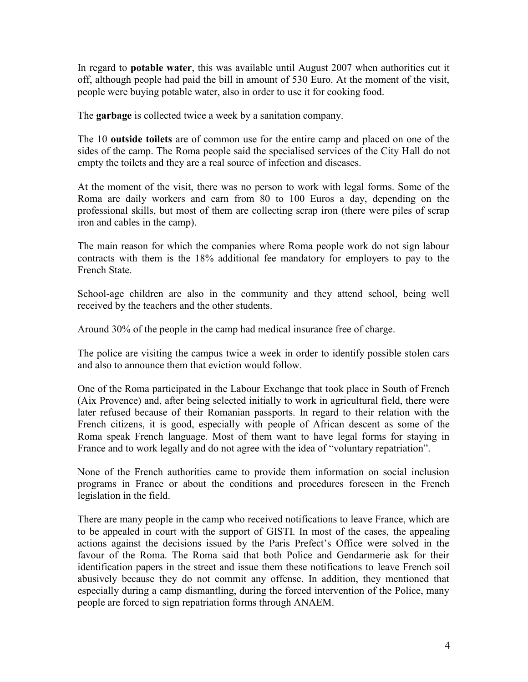In regard to **potable water**, this was available until August 2007 when authorities cut it off, although people had paid the bill in amount of 530 Euro. At the moment of the visit, people were buying potable water, also in order to use it for cooking food.

The **garbage** is collected twice a week by a sanitation company.

The 10 **outside toilets** are of common use for the entire camp and placed on one of the sides of the camp. The Roma people said the specialised services of the City Hall do not empty the toilets and they are a real source of infection and diseases.

At the moment of the visit, there was no person to work with legal forms. Some of the Roma are daily workers and earn from 80 to 100 Euros a day, depending on the professional skills, but most of them are collecting scrap iron (there were piles of scrap iron and cables in the camp).

The main reason for which the companies where Roma people work do not sign labour contracts with them is the 18% additional fee mandatory for employers to pay to the French State.

School-age children are also in the community and they attend school, being well received by the teachers and the other students.

Around 30% of the people in the camp had medical insurance free of charge.

The police are visiting the campus twice a week in order to identify possible stolen cars and also to announce them that eviction would follow.

One of the Roma participated in the Labour Exchange that took place in South of French (Aix Provence) and, after being selected initially to work in agricultural field, there were later refused because of their Romanian passports. In regard to their relation with the French citizens, it is good, especially with people of African descent as some of the Roma speak French language. Most of them want to have legal forms for staying in France and to work legally and do not agree with the idea of "voluntary repatriation".

None of the French authorities came to provide them information on social inclusion programs in France or about the conditions and procedures foreseen in the French legislation in the field.

There are many people in the camp who received notifications to leave France, which are to be appealed in court with the support of GISTI. In most of the cases, the appealing actions against the decisions issued by the Paris Prefect's Office were solved in the favour of the Roma. The Roma said that both Police and Gendarmerie ask for their identification papers in the street and issue them these notifications to leave French soil abusively because they do not commit any offense. In addition, they mentioned that especially during a camp dismantling, during the forced intervention of the Police, many people are forced to sign repatriation forms through ANAEM.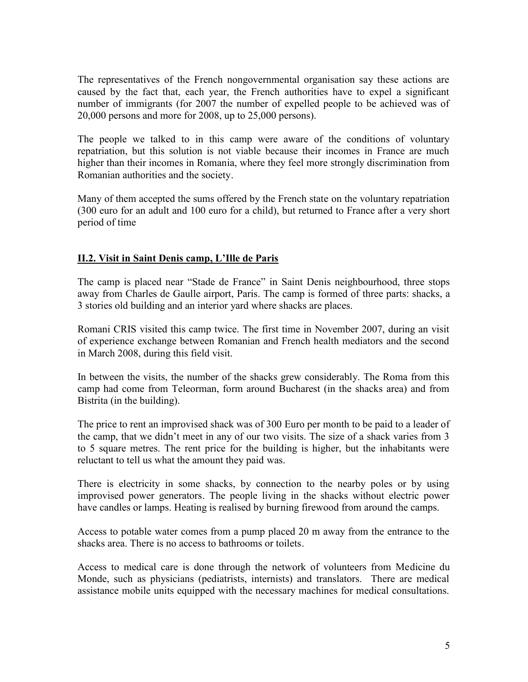The representatives of the French nongovernmental organisation say these actions are caused by the fact that, each year, the French authorities have to expel a significant number of immigrants (for 2007 the number of expelled people to be achieved was of 20,000 persons and more for 2008, up to 25,000 persons).

The people we talked to in this camp were aware of the conditions of voluntary repatriation, but this solution is not viable because their incomes in France are much higher than their incomes in Romania, where they feel more strongly discrimination from Romanian authorities and the society.

Many of them accepted the sums offered by the French state on the voluntary repatriation (300 euro for an adult and 100 euro for a child), but returned to France after a very short period of time

### **II.2. Visit in Saint Denis camp, L'Ille de Paris**

The camp is placed near "Stade de France" in Saint Denis neighbourhood, three stops away from Charles de Gaulle airport, Paris. The camp is formed of three parts: shacks, a 3 stories old building and an interior yard where shacks are places.

Romani CRIS visited this camp twice. The first time in November 2007, during an visit of experience exchange between Romanian and French health mediators and the second in March 2008, during this field visit.

In between the visits, the number of the shacks grew considerably. The Roma from this camp had come from Teleorman, form around Bucharest (in the shacks area) and from Bistrita (in the building).

The price to rent an improvised shack was of 300 Euro per month to be paid to a leader of the camp, that we didn't meet in any of our two visits. The size of a shack varies from 3 to 5 square metres. The rent price for the building is higher, but the inhabitants were reluctant to tell us what the amount they paid was.

There is electricity in some shacks, by connection to the nearby poles or by using improvised power generators. The people living in the shacks without electric power have candles or lamps. Heating is realised by burning firewood from around the camps.

Access to potable water comes from a pump placed 20 m away from the entrance to the shacks area. There is no access to bathrooms or toilets.

Access to medical care is done through the network of volunteers from Medicine du Monde, such as physicians (pediatrists, internists) and translators. There are medical assistance mobile units equipped with the necessary machines for medical consultations.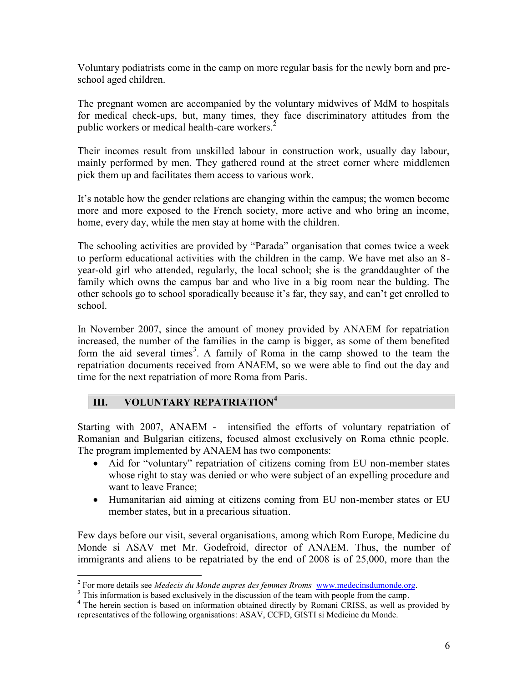Voluntary podiatrists come in the camp on more regular basis for the newly born and pre school aged children.

The pregnant women are accompanied by the voluntary midwives of MdM to hospitals for medical check-ups, but, many times, they face discriminatory attitudes from the public workers or medical health-care workers.<sup>2</sup>

Their incomes result from unskilled labour in construction work, usually day labour, mainly performed by men. They gathered round at the street corner where middlemen pick them up and facilitates them access to various work.

It's notable how the gender relations are changing within the campus; the women become more and more exposed to the French society, more active and who bring an income, home, every day, while the men stay at home with the children.

The schooling activities are provided by "Parada" organisation that comes twice a week to perform educational activities with the children in the camp. We have met also an 8 year-old girl who attended, regularly, the local school; she is the granddaughter of the family which owns the campus bar and who live in a big room near the bulding. The other schools go to school sporadically because it's far, they say, and can't get enrolled to school.

In November 2007, since the amount of money provided by ANAEM for repatriation increased, the number of the families in the camp is bigger, as some of them benefited form the aid several times<sup>3</sup>. A family of Roma in the camp showed to the team the repatriation documents received from ANAEM, so we were able to find out the day and time for the next repatriation of more Roma from Paris.

### **III. VOLUNTARY REPATRIATION<sup>4</sup>**

Starting with 2007, ANAEM - intensified the efforts of voluntary repatriation of Romanian and Bulgarian citizens, focused almost exclusively on Roma ethnic people. The program implemented by ANAEM has two components:

- Aid for "voluntary" repatriation of citizens coming from EU non-member states whose right to stay was denied or who were subject of an expelling procedure and want to leave France;
- Humanitarian aid aiming at citizens coming from EU non-member states or EU member states, but in a precarious situation.

Few days before our visit, several organisations, among which Rom Europe, Medicine du Monde si ASAV met Mr. Godefroid, director of ANAEM. Thus, the number of immigrants and aliens to be repatriated by the end of 2008 is of 25,000, more than the

 $\frac{3}{4}$  This information is based exclusively in the discussion of the team with people from the camp.<br> $\frac{3}{4}$  This information is based exclusively in the discussion of the team with people from the camp.<br> $\frac{4}{4}$  T representatives of the following organisations: ASAV, CCFD, GISTI si Medicine du Monde.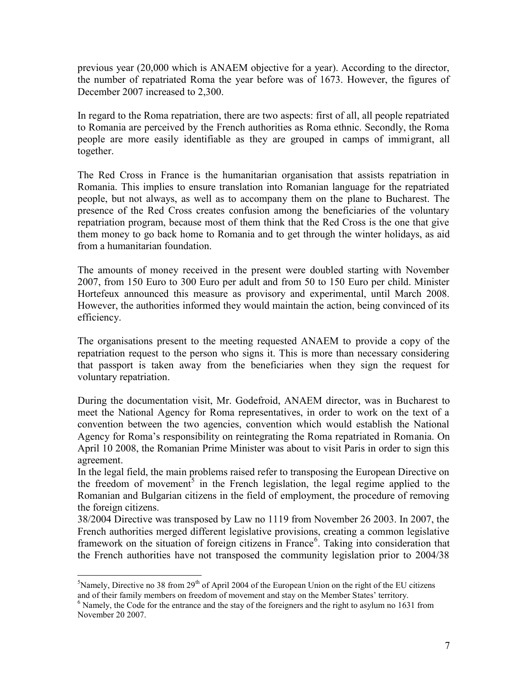previous year (20,000 which is ANAEM objective for a year). According to the director, the number of repatriated Roma the year before was of 1673. However, the figures of December 2007 increased to 2,300.

In regard to the Roma repatriation, there are two aspects: first of all, all people repatriated to Romania are perceived by the French authorities as Roma ethnic. Secondly, the Roma people are more easily identifiable as they are grouped in camps of immigrant, all together.

The Red Cross in France is the humanitarian organisation that assists repatriation in Romania. This implies to ensure translation into Romanian language for the repatriated people, but not always, as well as to accompany them on the plane to Bucharest. The presence of the Red Cross creates confusion among the beneficiaries of the voluntary repatriation program, because most of them think that the Red Cross is the one that give them money to go back home to Romania and to get through the winter holidays, as aid from a humanitarian foundation.

The amounts of money received in the present were doubled starting with November 2007, from 150 Euro to 300 Euro per adult and from 50 to 150 Euro per child. Minister Hortefeux announced this measure as provisory and experimental, until March 2008. However, the authorities informed they would maintain the action, being convinced of its efficiency.

The organisations present to the meeting requested ANAEM to provide a copy of the repatriation request to the person who signs it. This is more than necessary considering that passport is taken away from the beneficiaries when they sign the request for voluntary repatriation.

During the documentation visit, Mr. Godefroid, ANAEM director, was in Bucharest to meet the National Agency for Roma representatives, in order to work on the text of a convention between the two agencies, convention which would establish the National Agency for Roma's responsibility on reintegrating the Roma repatriated in Romania. On April 10 2008, the Romanian Prime Minister was about to visit Paris in order to sign this agreement.

In the legal field, the main problems raised refer to transposing the European Directive on the freedom of movement<sup>5</sup> in the French legislation, the legal regime applied to the Romanian and Bulgarian citizens in the field of employment, the procedure of removing the foreign citizens.

38/2004 Directive was transposed by Law no 1119 from November 26 2003. In 2007, the French authorities merged different legislative provisions, creating a common legislative framework on the situation of foreign citizens in France<sup>6</sup>. Taking into consideration that the French authorities have not transposed the community legislation prior to 2004/38

 $5$ Namely, Directive no 38 from 29<sup>th</sup> of April 2004 of the European Union on the right of the EU citizens and of their family members on freedom of movement and stay on the Member States' territory.

 $6$  Namely, the Code for the entrance and the stay of the foreigners and the right to asylum no 1631 from November 20 2007.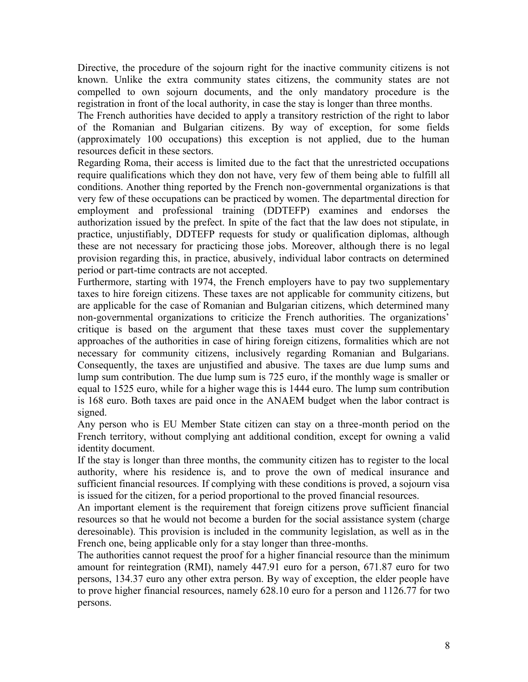Directive, the procedure of the sojourn right for the inactive community citizens is not known. Unlike the extra community states citizens, the community states are not compelled to own sojourn documents, and the only mandatory procedure is the registration in front of the local authority, in case the stay is longer than three months.

The French authorities have decided to apply a transitory restriction of the right to labor of the Romanian and Bulgarian citizens. By way of exception, for some fields (approximately 100 occupations) this exception is not applied, due to the human resources deficit in these sectors.

Regarding Roma, their access is limited due to the fact that the unrestricted occupations require qualifications which they don not have, very few of them being able to fulfill all conditions. Another thing reported by the French non-governmental organizations is that very few of these occupations can be practiced by women. The departmental direction for employment and professional training (DDTEFP) examines and endorses the authorization issued by the prefect. In spite of the fact that the law does not stipulate, in practice, unjustifiably, DDTEFP requests for study or qualification diplomas, although these are not necessary for practicing those jobs. Moreover, although there is no legal provision regarding this, in practice, abusively, individual labor contracts on determined period or part-time contracts are not accepted.

Furthermore, starting with 1974, the French employers have to pay two supplementary taxes to hire foreign citizens. These taxes are not applicable for community citizens, but are applicable for the case of Romanian and Bulgarian citizens, which determined many non-governmental organizations to criticize the French authorities. The organizations' critique is based on the argument that these taxes must cover the supplementary approaches of the authorities in case of hiring foreign citizens, formalities which are not necessary for community citizens, inclusively regarding Romanian and Bulgarians. Consequently, the taxes are unjustified and abusive. The taxes are due lump sums and lump sum contribution. The due lump sum is 725 euro, if the monthly wage is smaller or equal to 1525 euro, while for a higher wage this is 1444 euro. The lump sum contribution is 168 euro. Both taxes are paid once in the ANAEM budget when the labor contract is signed.

Any person who is EU Member State citizen can stay on a three-month period on the French territory, without complying ant additional condition, except for owning a valid identity document.

If the stay is longer than three months, the community citizen has to register to the local authority, where his residence is, and to prove the own of medical insurance and sufficient financial resources. If complying with these conditions is proved, a sojourn visa is issued for the citizen, for a period proportional to the proved financial resources.

An important element is the requirement that foreign citizens prove sufficient financial resources so that he would not become a burden for the social assistance system (charge deresoinable). This provision is included in the community legislation, as well as in the French one, being applicable only for a stay longer than three-months.

The authorities cannot request the proof for a higher financial resource than the minimum amount for reintegration (RMI), namely 447.91 euro for a person, 671.87 euro for two persons, 134.37 euro any other extra person. By way of exception, the elder people have to prove higher financial resources, namely 628.10 euro for a person and 1126.77 for two persons.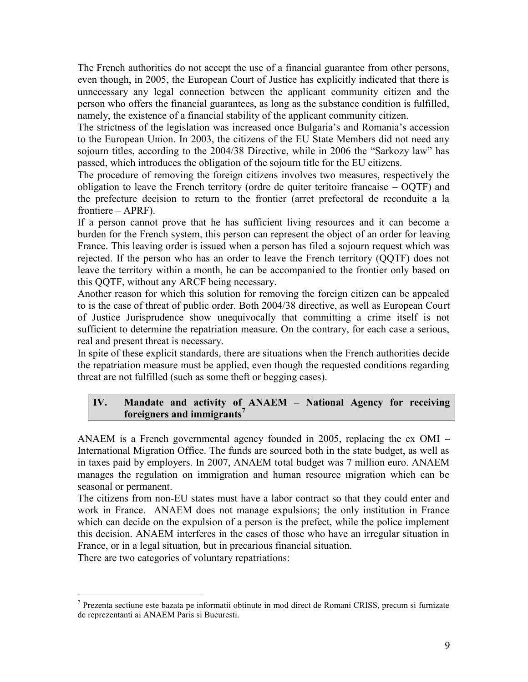The French authorities do not accept the use of a financial guarantee from other persons, even though, in 2005, the European Court of Justice has explicitly indicated that there is unnecessary any legal connection between the applicant community citizen and the person who offers the financial guarantees, as long as the substance condition is fulfilled, namely, the existence of a financial stability of the applicant community citizen.

The strictness of the legislation was increased once Bulgaria's and Romania's accession to the European Union. In 2003, the citizens of the EU State Members did not need any sojourn titles, according to the 2004/38 Directive, while in 2006 the "Sarkozy law" has passed, which introduces the obligation of the sojourn title for the EU citizens.

The procedure of removing the foreign citizens involves two measures, respectively the obligation to leave the French territory (ordre de quiter teritoire francaise – OQTF) and the prefecture decision to return to the frontier (arret prefectoral de reconduite a la frontiere – APRF).

If a person cannot prove that he has sufficient living resources and it can become a burden for the French system, this person can represent the object of an order for leaving France. This leaving order is issued when a person has filed a sojourn request which was rejected. If the person who has an order to leave the French territory (QQTF) does not leave the territory within a month, he can be accompanied to the frontier only based on this QQTF, without any ARCF being necessary.

Another reason for which this solution for removing the foreign citizen can be appealed to is the case of threat of public order. Both 2004/38 directive, as well as European Court of Justice Jurisprudence show unequivocally that committing a crime itself is not sufficient to determine the repatriation measure. On the contrary, for each case a serious, real and present threat is necessary.

In spite of these explicit standards, there are situations when the French authorities decide the repatriation measure must be applied, even though the requested conditions regarding threat are not fulfilled (such as some theft or begging cases).

### **IV. Mandate and activity of ANAEM – National Agency for receiving foreigners and immigrants<sup>7</sup>**

ANAEM is a French governmental agency founded in 2005, replacing the ex OMI – International Migration Office. The funds are sourced both in the state budget, as well as in taxes paid by employers. In 2007, ANAEM total budget was 7 million euro. ANAEM manages the regulation on immigration and human resource migration which can be seasonal or permanent.

The citizens from non-EU states must have a labor contract so that they could enter and work in France. ANAEM does not manage expulsions; the only institution in France which can decide on the expulsion of a person is the prefect, while the police implement this decision. ANAEM interferes in the cases of those who have an irregular situation in France, or in a legal situation, but in precarious financial situation.

There are two categories of voluntary repatriations:

<sup>7</sup> Prezenta sectiune este bazata pe informatii obtinute in mod direct de Romani CRISS, precum si furnizate de reprezentanti ai ANAEM Paris si Bucuresti.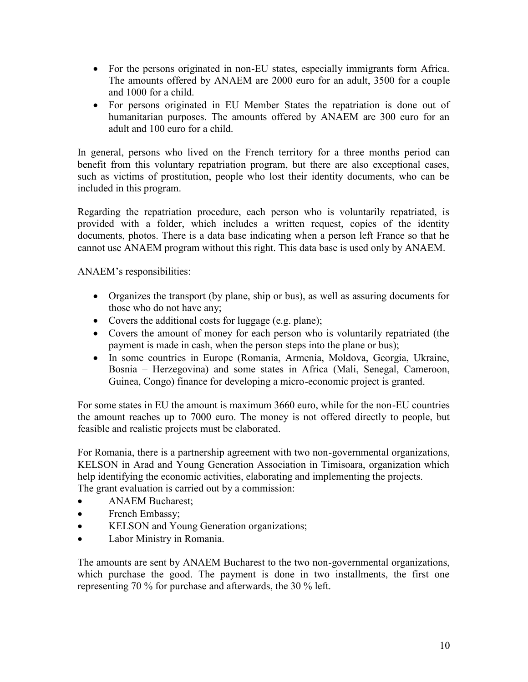- For the persons originated in non-EU states, especially immigrants form Africa. The amounts offered by ANAEM are 2000 euro for an adult, 3500 for a couple and 1000 for a child.
- For persons originated in EU Member States the repatriation is done out of humanitarian purposes. The amounts offered by ANAEM are 300 euro for an adult and 100 euro for a child.

In general, persons who lived on the French territory for a three months period can benefit from this voluntary repatriation program, but there are also exceptional cases, such as victims of prostitution, people who lost their identity documents, who can be included in this program.

Regarding the repatriation procedure, each person who is voluntarily repatriated, is provided with a folder, which includes a written request, copies of the identity documents, photos. There is a data base indicating when a person left France so that he cannot use ANAEM program without this right. This data base is used only by ANAEM.

ANAEM's responsibilities:

- Organizes the transport (by plane, ship or bus), as well as assuring documents for those who do not have any;
- Covers the additional costs for luggage (e.g. plane);
- Covers the amount of money for each person who is voluntarily repatriated (the payment is made in cash, when the person steps into the plane or bus);
- In some countries in Europe (Romania, Armenia, Moldova, Georgia, Ukraine, Bosnia – Herzegovina) and some states in Africa (Mali, Senegal, Cameroon, Guinea, Congo) finance for developing a micro-economic project is granted.

For some states in EU the amount is maximum 3660 euro, while for the non-EU countries the amount reaches up to 7000 euro. The money is not offered directly to people, but feasible and realistic projects must be elaborated.

For Romania, there is a partnership agreement with two non-governmental organizations, KELSON in Arad and Young Generation Association in Timisoara, organization which help identifying the economic activities, elaborating and implementing the projects. The grant evaluation is carried out by a commission:

- ANAEM Bucharest;
- French Embassy;
- KELSON and Young Generation organizations;
- Labor Ministry in Romania.

The amounts are sent by ANAEM Bucharest to the two non-governmental organizations, which purchase the good. The payment is done in two installments, the first one representing 70 % for purchase and afterwards, the 30 % left.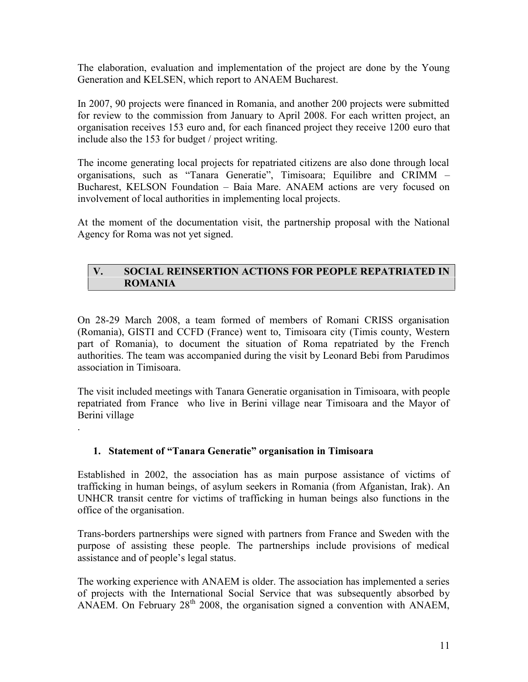The elaboration, evaluation and implementation of the project are done by the Young Generation and KELSEN, which report to ANAEM Bucharest.

In 2007, 90 projects were financed in Romania, and another 200 projects were submitted for review to the commission from January to April 2008. For each written project, an organisation receives 153 euro and, for each financed project they receive 1200 euro that include also the 153 for budget / project writing.

The income generating local projects for repatriated citizens are also done through local organisations, such as "Tanara Generatie", Timisoara; Equilibre and CRIMM – Bucharest, KELSON Foundation – Baia Mare. ANAEM actions are very focused on involvement of local authorities in implementing local projects.

At the moment of the documentation visit, the partnership proposal with the National Agency for Roma was not yet signed.

#### **V. SOCIAL REINSERTION ACTIONS FOR PEOPLE REPATRIATED IN ROMANIA**

On 28-29 March 2008, a team formed of members of Romani CRISS organisation (Romania), GISTI and CCFD (France) went to, Timisoara city (Timis county, Western part of Romania), to document the situation of Roma repatriated by the French authorities. The team was accompanied during the visit by Leonard Bebi from Parudimos association in Timisoara.

The visit included meetings with Tanara Generatie organisation in Timisoara, with people repatriated from France who live in Berini village near Timisoara and the Mayor of Berini village

### **1. Statement of "Tanara Generatie" organisation in Timisoara**

.<br>.<br>.

Established in 2002, the association has as main purpose assistance of victims of trafficking in human beings, of asylum seekers in Romania (from Afganistan, Irak). An UNHCR transit centre for victims of trafficking in human beings also functions in the office of the organisation.

Trans-borders partnerships were signed with partners from France and Sweden with the purpose of assisting these people. The partnerships include provisions of medical assistance and of people's legal status.

The working experience with ANAEM is older. The association has implemented a series of projects with the International Social Service that was subsequently absorbed by ANAEM. On February  $28<sup>th</sup>$  2008, the organisation signed a convention with ANAEM,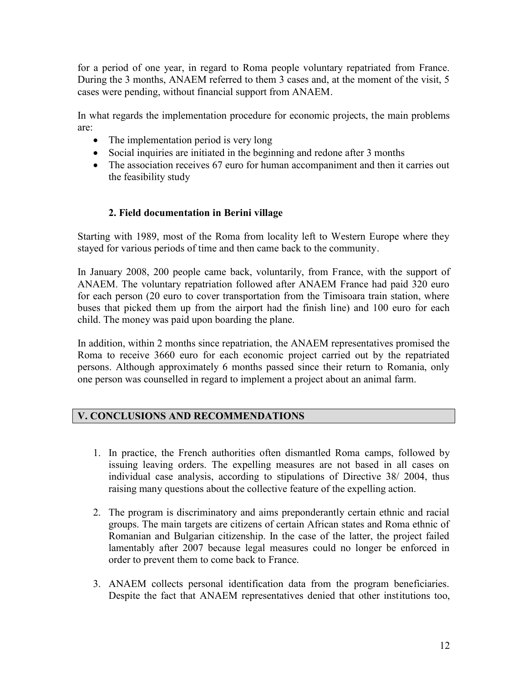for a period of one year, in regard to Roma people voluntary repatriated from France. During the 3 months, ANAEM referred to them 3 cases and, at the moment of the visit, 5 cases were pending, without financial support from ANAEM.

In what regards the implementation procedure for economic projects, the main problems are:

- The implementation period is very long
- Social inquiries are initiated in the beginning and redone after 3 months
- The association receives 67 euro for human accompaniment and then it carries out the feasibility study

# **2. Field documentation in Berini village**

Starting with 1989, most of the Roma from locality left to Western Europe where they stayed for various periods of time and then came back to the community.

In January 2008, 200 people came back, voluntarily, from France, with the support of ANAEM. The voluntary repatriation followed after ANAEM France had paid 320 euro for each person (20 euro to cover transportation from the Timisoara train station, where buses that picked them up from the airport had the finish line) and 100 euro for each child. The money was paid upon boarding the plane.

In addition, within 2 months since repatriation, the ANAEM representatives promised the Roma to receive 3660 euro for each economic project carried out by the repatriated persons. Although approximately 6 months passed since their return to Romania, only one person was counselled in regard to implement a project about an animal farm.

### **V. CONCLUSIONS AND RECOMMENDATIONS**

- 1. In practice, the French authorities often dismantled Roma camps, followed by issuing leaving orders. The expelling measures are not based in all cases on individual case analysis, according to stipulations of Directive 38/ 2004, thus raising many questions about the collective feature of the expelling action.
- 2. The program is discriminatory and aims preponderantly certain ethnic and racial groups. The main targets are citizens of certain African states and Roma ethnic of Romanian and Bulgarian citizenship. In the case of the latter, the project failed lamentably after 2007 because legal measures could no longer be enforced in order to prevent them to come back to France.
- 3. ANAEM collects personal identification data from the program beneficiaries. Despite the fact that ANAEM representatives denied that other institutions too,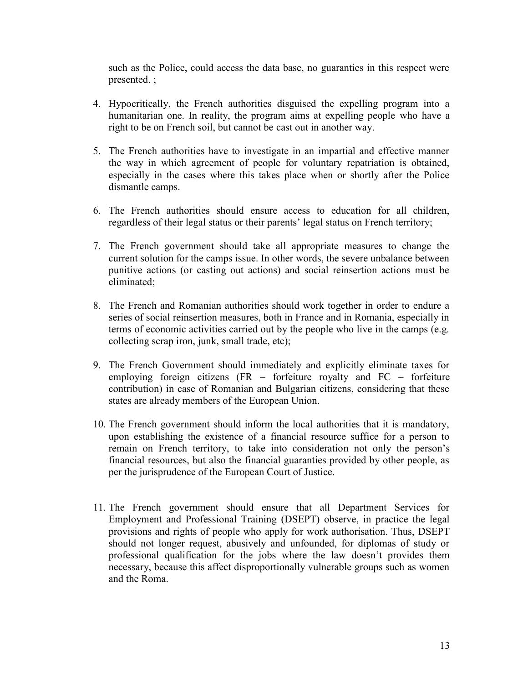such as the Police, could access the data base, no guaranties in this respect were presented. ;

- 4. Hypocritically, the French authorities disguised the expelling program into a humanitarian one. In reality, the program aims at expelling people who have a right to be on French soil, but cannot be cast out in another way.
- 5. The French authorities have to investigate in an impartial and effective manner the way in which agreement of people for voluntary repatriation is obtained, especially in the cases where this takes place when or shortly after the Police dismantle camps.
- 6. The French authorities should ensure access to education for all children, regardless of their legal status or their parents' legal status on French territory;
- 7. The French government should take all appropriate measures to change the current solution for the camps issue. In other words, the severe unbalance between punitive actions (or casting out actions) and social reinsertion actions must be eliminated;
- 8. The French and Romanian authorities should work together in order to endure a series of social reinsertion measures, both in France and in Romania, especially in terms of economic activities carried out by the people who live in the camps (e.g. collecting scrap iron, junk, small trade, etc);
- 9. The French Government should immediately and explicitly eliminate taxes for employing foreign citizens (FR – forfeiture royalty and FC – forfeiture contribution) in case of Romanian and Bulgarian citizens, considering that these states are already members of the European Union.
- 10. The French government should inform the local authorities that it is mandatory, upon establishing the existence of a financial resource suffice for a person to remain on French territory, to take into consideration not only the person's financial resources, but also the financial guaranties provided by other people, as per the jurisprudence of the European Court of Justice.
- 11. The French government should ensure that all Department Services for Employment and Professional Training (DSEPT) observe, in practice the legal provisions and rights of people who apply for work authorisation. Thus, DSEPT should not longer request, abusively and unfounded, for diplomas of study or professional qualification for the jobs where the law doesn't provides them necessary, because this affect disproportionally vulnerable groups such as women and the Roma.